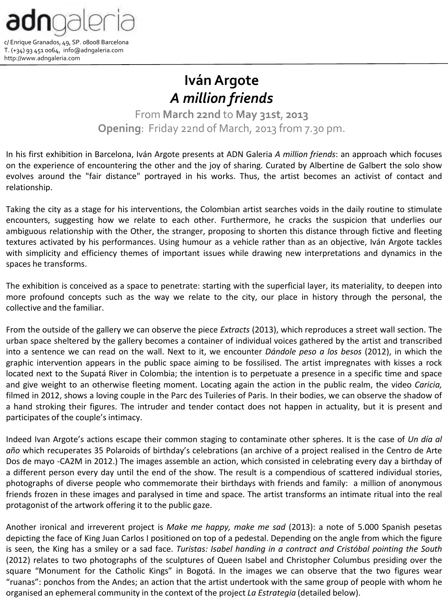

http://www.adngaleria.com

**IvánArgote** *A million friends*

From **March 22nd** to **May 31st**, **2013 Opening**: Friday 22nd of March, 2013 from 7.30 pm.

In his first exhibition in Barcelona, Iván Argote presents at ADN Galeria *A million friends*: an approach which focuses on the experience of encountering the other and the joy of sharing. Curated by Albertine de Galbert the solo show evolves around the "fair distance" portrayed in his works. Thus, the artist becomes an activist of contact and relationship.

Taking the city as a stage for his interventions, the Colombian artist searches voids in the daily routine to stimulate encounters, suggesting how we relate to each other. Furthermore, he cracks the suspicion that underlies our ambiguous relationship with the Other, the stranger, proposing to shorten this distance through fictive and fleeting textures activated by his performances. Using humour as a vehicle rather than as an objective, Iván Argote tackles with simplicity and efficiency themes of important issues while drawing new interpretations and dynamics in the spaces he transforms.

The exhibition is conceived as a space to penetrate: starting with the superficial layer, its materiality, to deepen into more profound concepts such as the way we relate to the city, our place in history through the personal, the collective and the familiar.

From the outside of the gallery we can observe the piece *Extracts* (2013), which reproduces a street wall section. The urban space sheltered by the gallery becomes a container of individual voices gathered by the artist and transcribed into a sentence we can read on the wall. Next to it, we encounter *Dándole peso a los besos* (2012), in which the graphic intervention appears in the public space aiming to be fossilised. The artist impregnates with kisses a rock located next to the Supatá River in Colombia; the intention is to perpetuate a presence in a specific time and space and give weight to an otherwise fleeting moment. Locating again the action in the public realm, the video *Caricia,* filmed in 2012, shows a loving couple in the Parc des Tuileries of Paris. In their bodies, we can observe the shadow of a hand stroking their figures. The intruder and tender contact does not happen in actuality, but it is present and participates of the couple's intimacy.

Indeed Ivan Argote's actions escape their common staging to contaminate other spheres. It is the case of *Un día al año* which recuperates 35 Polaroids of birthday's celebrations (an archive of a project realised in the Centro de Arte Dos de mayo -CA2M in 2012.) The images assemble an action, which consisted in celebrating every day a birthday of a different person every day until the end of the show. The result is a compendious of scattered individual stories, photographs of diverse people who commemorate their birthdays with friends and family: a million of anonymous friends frozen in these images and paralysed in time and space. The artist transforms an intimate ritual into the real protagonist of the artwork offering it to the public gaze.

Another ironical and irreverent project is *Make me happy, make me sad* (2013): a note of 5.000 Spanish pesetas depicting the face of King Juan Carlos I positioned on top of a pedestal. Depending on the angle from which the figure is seen, the King has a smiley or a sad face. *Turistas: Isabel handing in a contract and Cristóbal pointing the South* (2012) relates to two photographs of the sculptures of Queen Isabel and Christopher Columbus presiding over the square "Monument for the Catholic Kings" in Bogotá. In the images we can observe that the two figures wear "ruanas": ponchos from the Andes; an action that the artist undertook with the same group of people with whom he organised an ephemeral community in the context of the project *La Estrategia* (detailed below).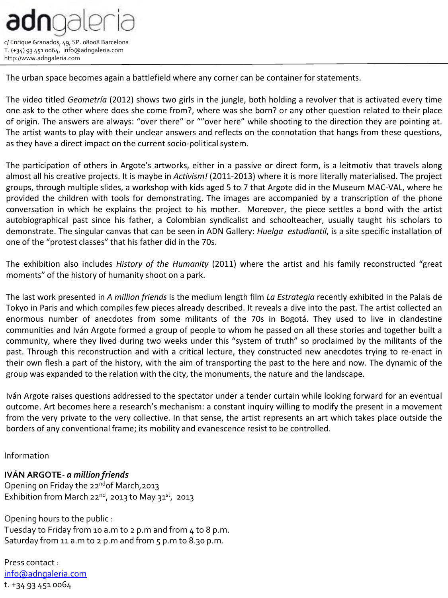

The urban space becomes again a battlefield where any corner can be container for statements.

The video titled *Geometría* (2012) shows two girls in the jungle, both holding a revolver that is activated every time one ask to the other where does she come from?, where was she born? or any other question related to their place of origin. The answers are always: "over there" or ""over here" while shooting to the direction they are pointing at. The artist wants to play with their unclear answers and reflects on the connotation that hangs from these questions, as they have a direct impact on the current socio-political system.

The participation of others in Argote's artworks, either in a passive or direct form, is a leitmotiv that travels along almost all his creative projects. It is maybe in *Activism!* (2011-2013) where it is more literally materialised. The project groups, through multiple slides, a workshop with kids aged 5 to 7 that Argote did in the Museum MAC-VAL, where he provided the children with tools for demonstrating. The images are accompanied by a transcription of the phone conversation in which he explains the project to his mother. Moreover, the piece settles a bond with the artist autobiographical past since his father, a Colombian syndicalist and schoolteacher, usually taught his scholars to demonstrate. The singular canvas that can be seen in ADN Gallery: *Huelga estudiantil*, is a site specific installation of one of the "protest classes" that his father did in the 70s.

The exhibition also includes *History of the Humanity* (2011) where the artist and his family reconstructed "great moments" of the history of humanity shoot on a park.

The last work presented in *A million friends* is the medium length film *La Estrategia* recently exhibited in the Palais de Tokyo in Paris and which compiles few pieces already described. It reveals a dive into the past. The artist collected an enormous number of anecdotes from some militants of the 70s in Bogotá. They used to live in clandestine communities and Iván Argote formed a group of people to whom he passed on all these stories and together built a community, where they lived during two weeks under this "system of truth" so proclaimed by the militants of the past. Through this reconstruction and with a critical lecture, they constructed new anecdotes trying to re-enact in their own flesh a part of the history, with the aim of transporting the past to the here and now. The dynamic of the group was expanded to the relation with the city, the monuments, the nature and the landscape.

Iván Argote raises questions addressed to the spectator under a tender curtain while looking forward for an eventual outcome. Art becomes here a research's mechanism: a constant inquiry willing to modify the present in a movement from the very private to the very collective. In that sense, the artist represents an art which takes place outside the borders of any conventional frame; its mobility and evanescence resist to be controlled.

Information

**IVÁN ARGOTE**- *a million friends* Opening on Friday the 22<sup>nd</sup> of March, 2013 Exhibition from March 22<sup>nd</sup>, 2013 to May 31<sup>st</sup>, 2013

Opening hours to the public : Tuesday to Friday from 10 a.m to 2 p.m and from 4 to 8 p.m. Saturday from 11 a.m to 2 p.m and from 5 p.m to 8.30 p.m.

Press contact : [info@adngaleria.com](mailto:info@adngaleria.com) t. +34 93 451 0064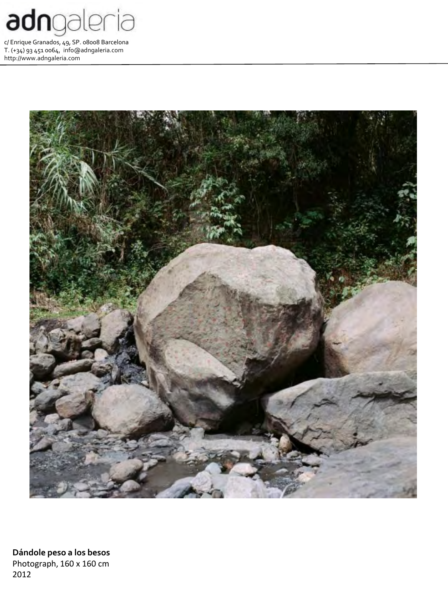



**Dándole peso a los besos** Photograph, 160 x 160 cm 2012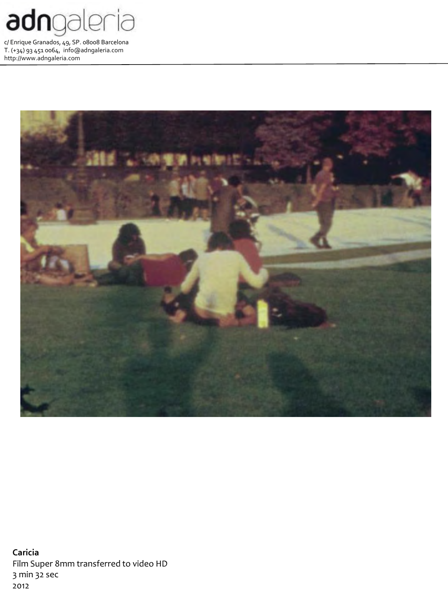



**Caricia** Film Super 8mm transferred to video HD 3 min 32 sec 2012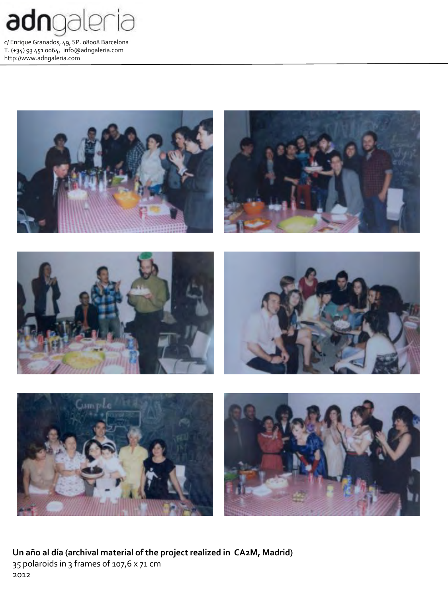



**Un año al día (archival material of the project realized in CA2M, Madrid)** 35 polaroids in 3 frames of 107,6 x 71 cm 2012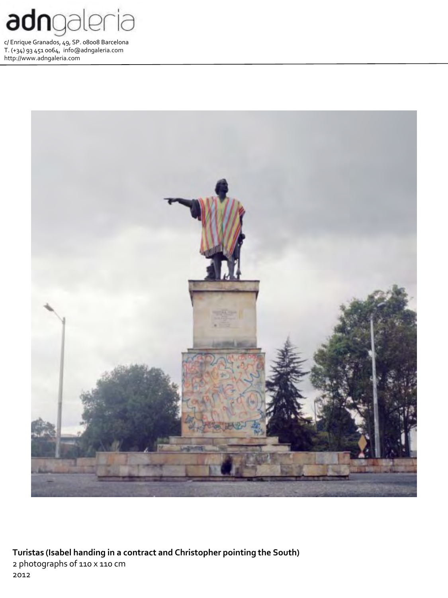



**Turistas (Isabel handing in a contract and Christopher pointing the South)** 2 photographs of 110 x 110 cm 2012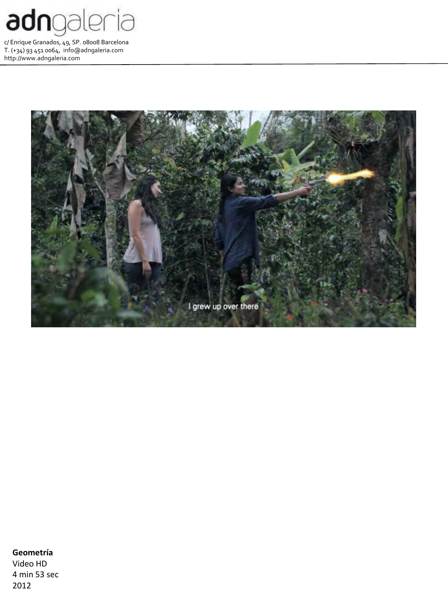



## **Geometría**

Video HD 4 min 53 sec 2012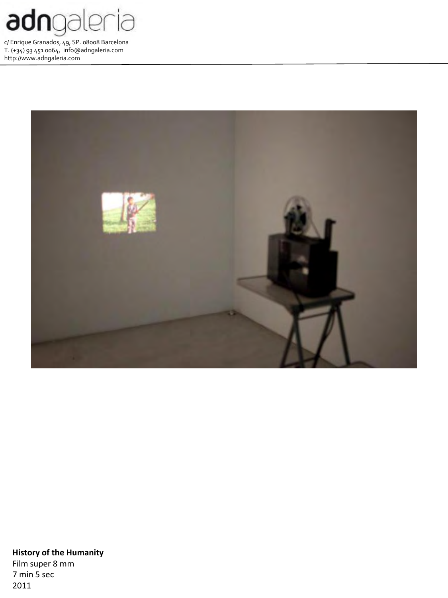



**History of the Humanity** Film super 8 mm 7 min 5 sec 2011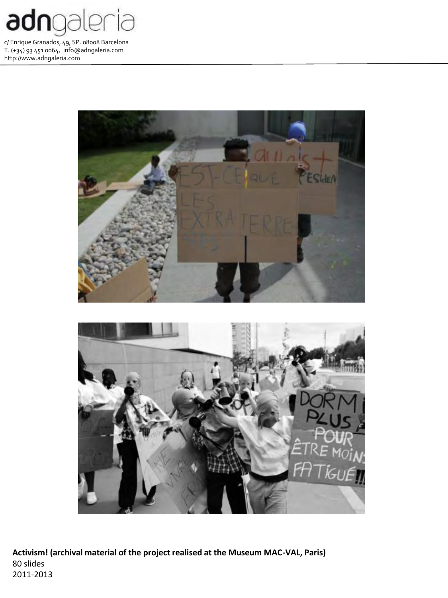



**Activism! (archival material of the project realised at the Museum MAC-VAL, Paris)** 80 slides 2011-2013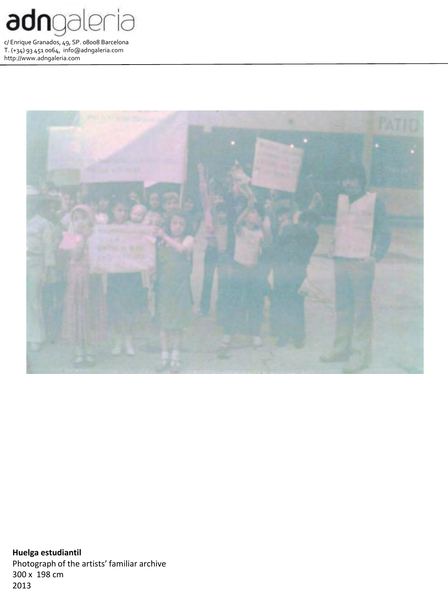



**Huelga estudiantil** Photograph of the artists' familiar archive 300 x 198 cm 2013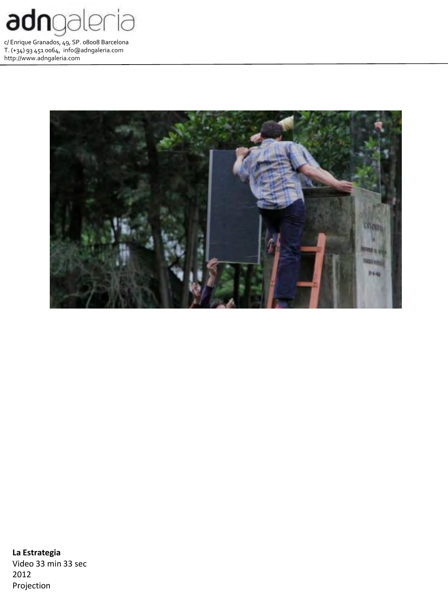



**La Estrategia** Video 33 min 33 sec 2012 Projection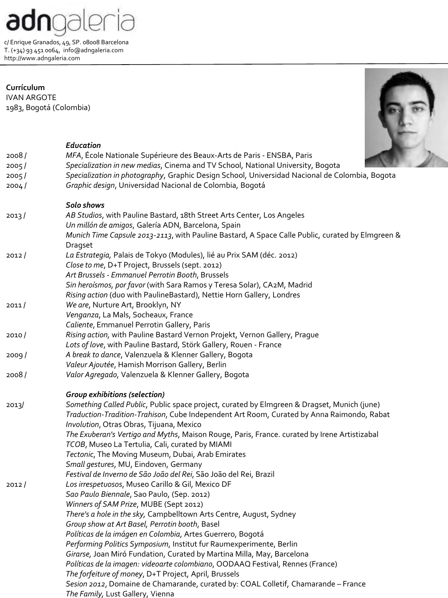adngaleria

**Currículum** IVAN ARGOTE 1983, Bogotá (Colombia)



## *Education*

| 2008/          | MFA, École Nationale Supérieure des Beaux-Arts de Paris - ENSBA, Paris                                                                          |
|----------------|-------------------------------------------------------------------------------------------------------------------------------------------------|
| 2005/          | Specialization in new medias, Cinema and TV School, National University, Bogota                                                                 |
| 2005/          | Specialization in photography, Graphic Design School, Universidad Nacional de Colombia, Bogota                                                  |
| 2004/          | Graphic design, Universidad Nacional de Colombia, Bogotá                                                                                        |
|                | Solo shows                                                                                                                                      |
| 2013/          | AB Studios, with Pauline Bastard, 18th Street Arts Center, Los Angeles                                                                          |
|                | Un millón de amigos, Galería ADN, Barcelona, Spain                                                                                              |
|                | Munich Time Capsule 2013-2113, with Pauline Bastard, A Space Calle Public, curated by Elmgreen &                                                |
|                | Dragset                                                                                                                                         |
| 2012/          | La Estrategia, Palais de Tokyo (Modules), lié au Prix SAM (déc. 2012)                                                                           |
|                | Close to me, D+T Project, Brussels (sept. 2012)                                                                                                 |
|                | Art Brussels - Emmanuel Perrotin Booth, Brussels                                                                                                |
|                | Sin heroísmos, por favor (with Sara Ramos y Teresa Solar), CA2M, Madrid                                                                         |
|                | Rising action (duo with PaulineBastard), Nettie Horn Gallery, Londres                                                                           |
| 2011/          | We are, Nurture Art, Brooklyn, NY                                                                                                               |
|                | Venganza, La Mals, Socheaux, France                                                                                                             |
|                | Caliente, Emmanuel Perrotin Gallery, Paris                                                                                                      |
| 2010/<br>2009/ | Rising action, with Pauline Bastard Vernon Projekt, Vernon Gallery, Prague<br>Lots of love, with Pauline Bastard, Störk Gallery, Rouen - France |
|                | A break to dance, Valenzuela & Klenner Gallery, Bogota                                                                                          |
|                | Valeur Ajoutée, Hamish Morrison Gallery, Berlin                                                                                                 |
| 2008/          | Valor Agregado, Valenzuela & Klenner Gallery, Bogota                                                                                            |
|                |                                                                                                                                                 |
|                | <b>Group exhibitions (selection)</b>                                                                                                            |
| 2013/          | Something Called Public, Public space project, curated by Elmgreen & Dragset, Munich (june)                                                     |
|                | Traduction-Tradition-Trahison, Cube Independent Art Room, Curated by Anna Raimondo, Rabat                                                       |
|                | Involution, Otras Obras, Tijuana, Mexico                                                                                                        |
|                | The Exuberan's Vertigo and Myths, Maison Rouge, Paris, France. curated by Irene Artistizabal                                                    |
|                | TCOB, Museo La Tertulia, Cali, curated by MIAMI                                                                                                 |
|                | Tectonic, The Moving Museum, Dubai, Arab Emirates                                                                                               |
|                | Small gestures, MU, Eindoven, Germany                                                                                                           |
|                | Festival de Inverno de São João del Rei, São João del Rei, Brazil                                                                               |
| 2012/          | Los irrespetuosos, Museo Carillo & Gil, Mexico DF                                                                                               |
|                | Sao Paulo Biennale, Sao Paulo, (Sep. 2012)                                                                                                      |
|                | Winners of SAM Prize, MUBE (Sept 2012)<br>There's a hole in the sky, Campbelltown Arts Centre, August, Sydney                                   |
|                | Group show at Art Basel, Perrotin booth, Basel                                                                                                  |
|                | Políticas de la imágen en Colombia, Artes Guerrero, Bogotá                                                                                      |
|                | Performing Politics Symposium, Institut fur Raumexperimente, Berlin                                                                             |
|                | Girarse, Joan Miró Fundation, Curated by Martina Milla, May, Barcelona                                                                          |
|                | Políticas de la imagen: videoarte colombiano, OODAAQ Festival, Rennes (France)                                                                  |
|                | The forfeiture of money, D+T Project, April, Brussels                                                                                           |
|                | Sesion 2012, Domaine de Chamarande, curated by: COAL Colletif, Chamarande - France                                                              |
|                | The Family, Lust Gallery, Vienna                                                                                                                |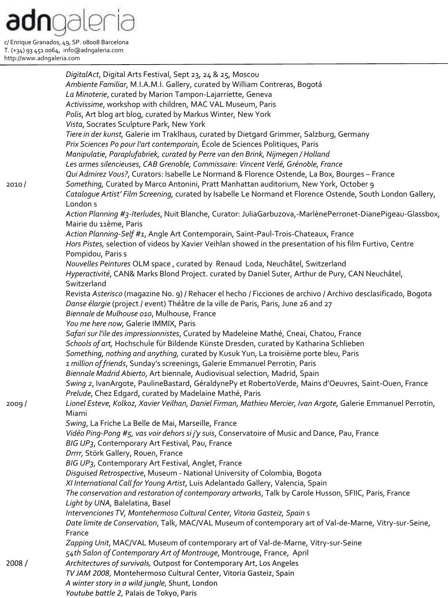*DigitalAct*, Digital Arts Festival, Sept 23, 24 & 25, Moscou *Ambiente Familiar*, M.I.A.M.I. Gallery, curated by William Contreras, Bogotá *La Minoterie*, curated by Marion Tampon-Lajarriette, Geneva *Activissime*, workshop with children, MAC VAL Museum, Paris *Polis*, Art blog art blog, curated by Markus Winter, New York *Vista*, Socrates Sculpture Park, New York *Tiere in der kunst,* Galerie im Traklhaus*,* curated by Dietgard Grimmer, Salzburg, Germany *Prix Sciences Po pour l'art contemporain,* École de Sciences Politiques, Paris *Manipulatie, Paraplufabriek, curated by Perre van den Brink, Nijmegen / Holland Les armes silencieuses, CAB Grenoble, Commissaire: Vincent Verlé, Grénoble, France Qui Admirez Vous?*, Curators: Isabelle Le Normand & Florence Ostende, La Box, Bourges – France 2010 / *Something,* Curated by Marco Antonini, Pratt Manhattan auditorium, New York, October 9 *Catalogue Artist' Film Screening,* curated by Isabelle Le Normand et Florence Ostende, South London Gallery, London s *Action Planning #3-Iterludes*, Nuit Blanche, Curator: JuliaGarbuzova,-MarlènePerronet-DianePigeau-Glassbox, Mairie du 11ème, Paris *Action Planning-Self #1*, Angle Art Contemporain, Saint-Paul-Trois-Chateaux, France *Hors Pistes,* selection of videos by Xavier Veihlan showed in the presentation of his film Furtivo, Centre Pompidou, Paris s *Nouvelles Peintures* OLM space , curated by Renaud Loda, Neuchâtel, Switzerland *Hyperactivité*, CAN& Marks Blond Project. curated by Daniel Suter, Arthur de Pury, CAN Neuchâtel, Switzerland Revista *Asterisco* (magazine No. 9) / Rehacer el hecho / Ficciones de archivo / Archivo desclasificado, Bogota *Danse élargie* (project / event) Théâtre de la ville de Paris, Paris, June 26 and 27 *Biennale de Mulhouse 010*, Mulhouse, France *You me here now,* Galerie IMMIX, Paris *Safari sur l'ile des impressionnistes*, Curated by Madeleine Mathé, Cneai, Chatou, France *Schools of art,* Hochschule für Bildende Künste Dresden, curated by Katharina Schlieben *Something, nothing and anything,* curated by Kusuk Yun, La troisième porte bleu, Paris *1 million of friends*, Sunday's screenings, Galerie Emmanuel Perrotin, Paris *Biennale Madrid Abierto*, Art biennale, Audiovisual selection, Madrid, Spain *Swing 2*, IvanArgote, PaulineBastard, GéraldynePy et RobertoVerde, Mains d'Oeuvres, Saint-Ouen, France *Prelude*, Chez Edgard, curated by Madelaine Mathé, Paris 2009 / *Lionel Esteve, Kolkoz, Xavier Veilhan, Daniel Firman, Mathieu Mercier, Ivan Argote,* Galerie Emmanuel Perrotin, Miami *Swing*, La Friche La Belle de Mai, Marseille, France *Vidéo Ping-Pong #5, vas voir dehors si j'y suis*, Conservatoire of Music and Dance, Pau, France *BIG UP3*, Contemporary Art Festival, Pau, France *Drrrr,* Störk Gallery, Rouen, France *BIG UP3*, Contemporary Art Festival, Anglet, France *Disguised Retrospective*, Museum - National University of Colombia, Bogota *XI International Call for Young Artist*, Luis Adelantado Gallery, Valencia, Spain *The conservation and restoration of contemporary artworks*, Talk by Carole Husson, SFIIC, Paris, France *Light by UNA,* Balelatina, Basel *Intervenciones TV, Montehermoso Cultural Center, Vitoria Gasteiz, Spain* s *Date limite de Conservation*, Talk, MAC/VAL Museum of contemporary art of Val-de-Marne, Vitry-sur-Seine, France *Zapping Unit*, MAC/VAL Museum of contemporary art of Val-de-Marne, Vitry-sur-Seine *54th Salon of Contemporary Art of Montrouge*, Montrouge, France, April 2008 / *Architectures of survivals,* Outpost for Contemporary Art, Los Angeles *TV JAM 2008*, Montehermoso Cultural Center, Vitoria Gasteiz, Spain *A winter story in a wild jungle,* Shunt, London *Youtube battle 2,* Palais de Tokyo, Paris